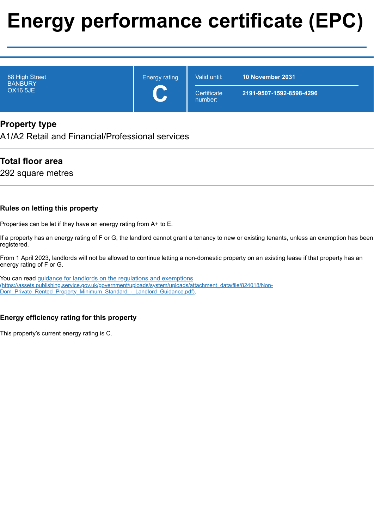# **Energy performance certificate (EPC)**

| 88 High Street<br><b>BANBURY</b><br><b>OX16 5JE</b> | <b>Energy rating</b><br>$\overline{\phantom{a}}$ | Valid until:           | <b>10 November 2031</b>  |
|-----------------------------------------------------|--------------------------------------------------|------------------------|--------------------------|
|                                                     |                                                  | Certificate<br>number: | 2191-9507-1592-8598-4296 |

# **Property type**

A1/A2 Retail and Financial/Professional services

# **Total floor area**

292 square metres

#### **Rules on letting this property**

Properties can be let if they have an energy rating from A+ to E.

If a property has an energy rating of F or G, the landlord cannot grant a tenancy to new or existing tenants, unless an exemption has been registered.

From 1 April 2023, landlords will not be allowed to continue letting a non-domestic property on an existing lease if that property has an energy rating of F or G.

You can read guidance for landlords on the regulations and exemptions [\(https://assets.publishing.service.gov.uk/government/uploads/system/uploads/attachment\\_data/file/824018/Non-](https://assets.publishing.service.gov.uk/government/uploads/system/uploads/attachment_data/file/824018/Non-Dom_Private_Rented_Property_Minimum_Standard_-_Landlord_Guidance.pdf)Dom\_Private\_Rented\_Property\_Minimum\_Standard\_-\_Landlord\_Guidance.pdf).

#### **Energy efficiency rating for this property**

This property's current energy rating is C.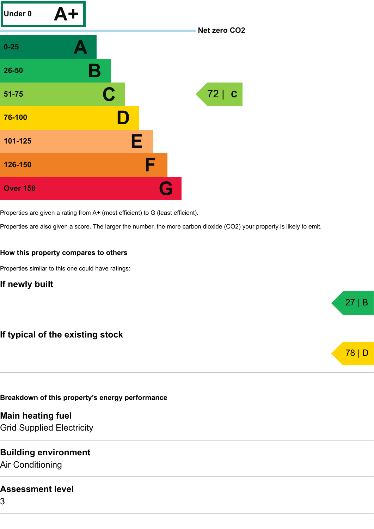

Properties are given a rating from A+ (most efficient) to G (least efficient).

Properties are also given a score. The larger the number, the more carbon dioxide (CO2) your property is likely to emit.

#### **How this property compares to others**

Properties similar to this one could have ratings:

**If newly built**



#### **Breakdown of this property's energy performance**

**Main heating fuel**

Grid Supplied Electricity

# **Building environment**

Air Conditioning

#### **Assessment level**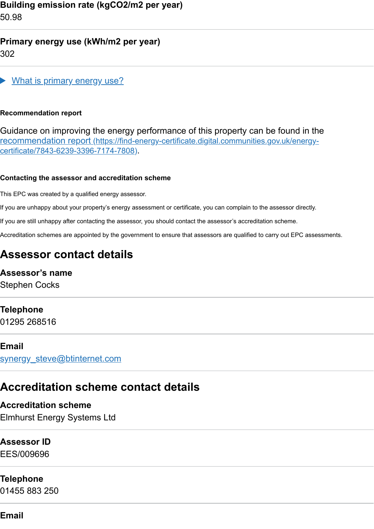**Building emission rate (kgCO2/m2 per year)** 50.98

## **Primary energy use (kWh/m2 per year)** 302



#### **Recommendation report**

Guidance on improving the energy performance of this property can be found in the recommendation report [\(https://find-energy-certificate.digital.communities.gov.uk/energy](https://find-energy-certificate.digital.communities.gov.uk/energy-certificate/7843-6239-3396-7174-7808)certificate/7843-6239-3396-7174-7808).

#### **Contacting the assessor and accreditation scheme**

This EPC was created by a qualified energy assessor.

If you are unhappy about your property's energy assessment or certificate, you can complain to the assessor directly.

If you are still unhappy after contacting the assessor, you should contact the assessor's accreditation scheme.

Accreditation schemes are appointed by the government to ensure that assessors are qualified to carry out EPC assessments.

# **Assessor contact details**

# **Assessor's name**

Stephen Cocks

# **Telephone**

01295 268516

#### **Email**

[synergy\\_steve@btinternet.com](mailto:synergy_steve@btinternet.com)

# **Accreditation scheme contact details**

#### **Accreditation scheme**

Elmhurst Energy Systems Ltd

#### **Assessor ID**

EES/009696

## **Telephone**

01455 883 250

# **Email**